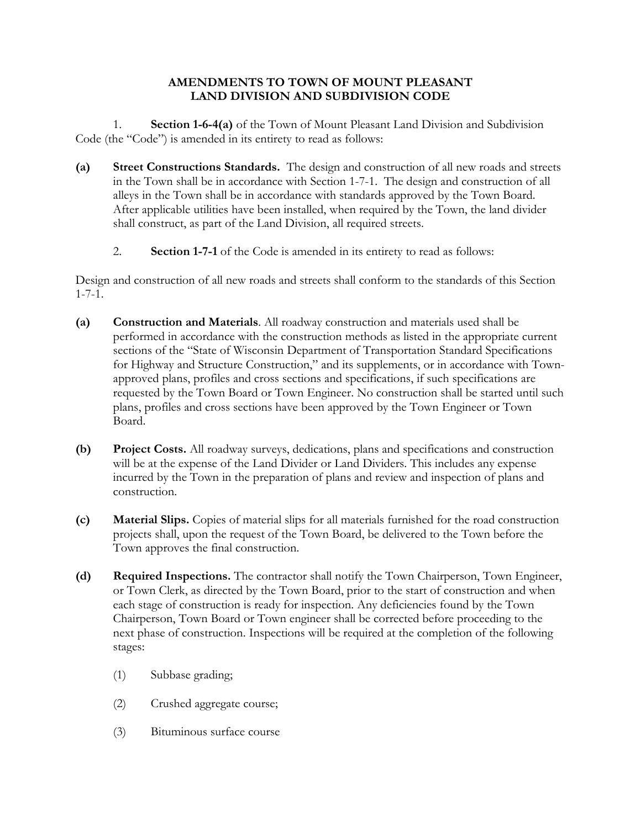## **AMENDMENTS TO TOWN OF MOUNT PLEASANT LAND DIVISION AND SUBDIVISION CODE**

1. **Section 1-6-4(a)** of the Town of Mount Pleasant Land Division and Subdivision Code (the "Code") is amended in its entirety to read as follows:

- **(a) Street Constructions Standards.** The design and construction of all new roads and streets in the Town shall be in accordance with Section 1-7-1. The design and construction of all alleys in the Town shall be in accordance with standards approved by the Town Board. After applicable utilities have been installed, when required by the Town, the land divider shall construct, as part of the Land Division, all required streets.
	- 2. **Section 1-7-1** of the Code is amended in its entirety to read as follows:

Design and construction of all new roads and streets shall conform to the standards of this Section 1-7-1.

- **(a) Construction and Materials**. All roadway construction and materials used shall be performed in accordance with the construction methods as listed in the appropriate current sections of the "State of Wisconsin Department of Transportation Standard Specifications for Highway and Structure Construction," and its supplements, or in accordance with Townapproved plans, profiles and cross sections and specifications, if such specifications are requested by the Town Board or Town Engineer. No construction shall be started until such plans, profiles and cross sections have been approved by the Town Engineer or Town Board.
- **(b) Project Costs.** All roadway surveys, dedications, plans and specifications and construction will be at the expense of the Land Divider or Land Dividers. This includes any expense incurred by the Town in the preparation of plans and review and inspection of plans and construction.
- **(c) Material Slips.** Copies of material slips for all materials furnished for the road construction projects shall, upon the request of the Town Board, be delivered to the Town before the Town approves the final construction.
- **(d) Required Inspections.** The contractor shall notify the Town Chairperson, Town Engineer, or Town Clerk, as directed by the Town Board, prior to the start of construction and when each stage of construction is ready for inspection. Any deficiencies found by the Town Chairperson, Town Board or Town engineer shall be corrected before proceeding to the next phase of construction. Inspections will be required at the completion of the following stages:
	- (1) Subbase grading;
	- (2) Crushed aggregate course;
	- (3) Bituminous surface course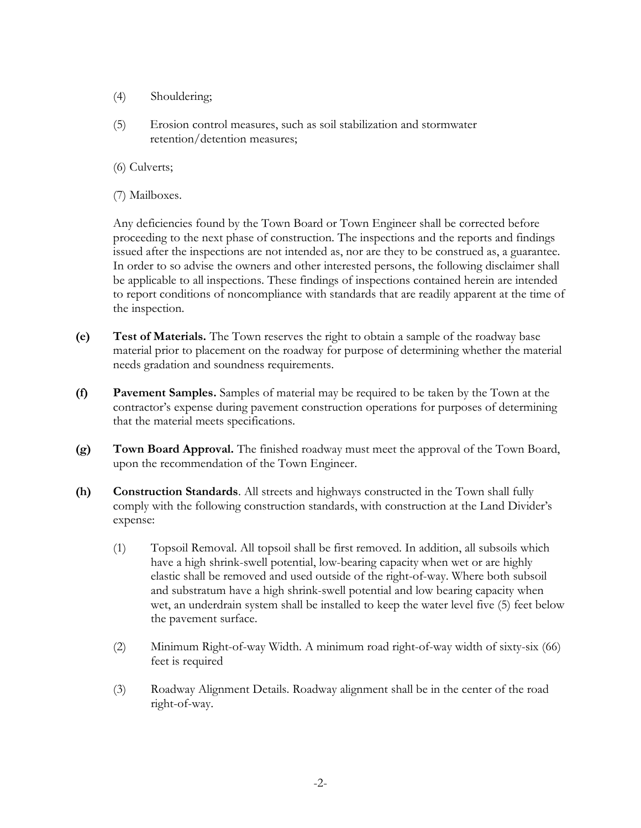- (4) Shouldering;
- (5) Erosion control measures, such as soil stabilization and stormwater retention/detention measures;
- (6) Culverts;
- (7) Mailboxes.

Any deficiencies found by the Town Board or Town Engineer shall be corrected before proceeding to the next phase of construction. The inspections and the reports and findings issued after the inspections are not intended as, nor are they to be construed as, a guarantee. In order to so advise the owners and other interested persons, the following disclaimer shall be applicable to all inspections. These findings of inspections contained herein are intended to report conditions of noncompliance with standards that are readily apparent at the time of the inspection.

- **(e) Test of Materials.** The Town reserves the right to obtain a sample of the roadway base material prior to placement on the roadway for purpose of determining whether the material needs gradation and soundness requirements.
- **(f) Pavement Samples.** Samples of material may be required to be taken by the Town at the contractor's expense during pavement construction operations for purposes of determining that the material meets specifications.
- **(g) Town Board Approval.** The finished roadway must meet the approval of the Town Board, upon the recommendation of the Town Engineer.
- **(h) Construction Standards**. All streets and highways constructed in the Town shall fully comply with the following construction standards, with construction at the Land Divider's expense:
	- (1) Topsoil Removal. All topsoil shall be first removed. In addition, all subsoils which have a high shrink-swell potential, low-bearing capacity when wet or are highly elastic shall be removed and used outside of the right-of-way. Where both subsoil and substratum have a high shrink-swell potential and low bearing capacity when wet, an underdrain system shall be installed to keep the water level five (5) feet below the pavement surface.
	- (2) Minimum Right-of-way Width. A minimum road right-of-way width of sixty-six (66) feet is required
	- (3) Roadway Alignment Details. Roadway alignment shall be in the center of the road right-of-way.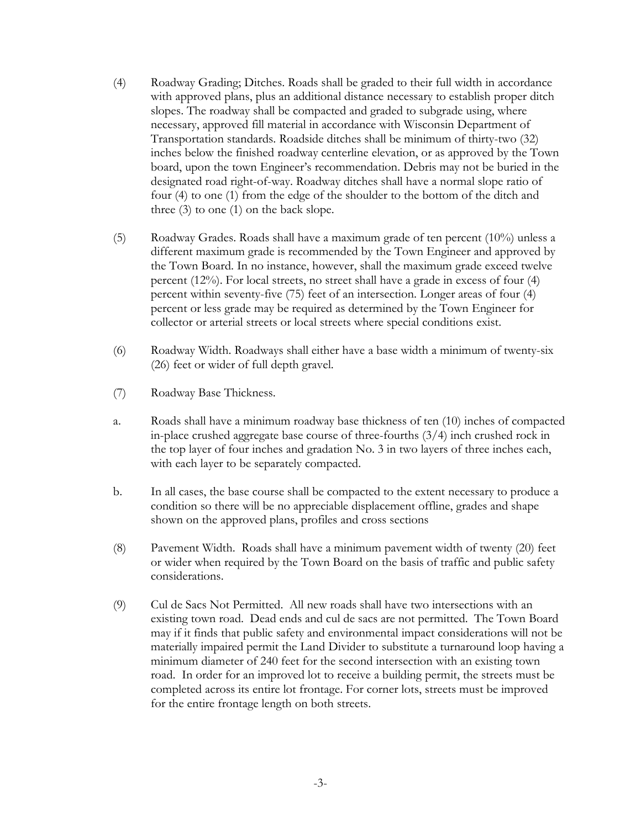- (4) Roadway Grading; Ditches. Roads shall be graded to their full width in accordance with approved plans, plus an additional distance necessary to establish proper ditch slopes. The roadway shall be compacted and graded to subgrade using, where necessary, approved fill material in accordance with Wisconsin Department of Transportation standards. Roadside ditches shall be minimum of thirty-two (32) inches below the finished roadway centerline elevation, or as approved by the Town board, upon the town Engineer's recommendation. Debris may not be buried in the designated road right-of-way. Roadway ditches shall have a normal slope ratio of four (4) to one (1) from the edge of the shoulder to the bottom of the ditch and three (3) to one (1) on the back slope.
- (5) Roadway Grades. Roads shall have a maximum grade of ten percent (10%) unless a different maximum grade is recommended by the Town Engineer and approved by the Town Board. In no instance, however, shall the maximum grade exceed twelve percent (12%). For local streets, no street shall have a grade in excess of four (4) percent within seventy-five (75) feet of an intersection. Longer areas of four (4) percent or less grade may be required as determined by the Town Engineer for collector or arterial streets or local streets where special conditions exist.
- (6) Roadway Width. Roadways shall either have a base width a minimum of twenty-six (26) feet or wider of full depth gravel.
- (7) Roadway Base Thickness.
- a. Roads shall have a minimum roadway base thickness of ten (10) inches of compacted in-place crushed aggregate base course of three-fourths (3/4) inch crushed rock in the top layer of four inches and gradation No. 3 in two layers of three inches each, with each layer to be separately compacted.
- b. In all cases, the base course shall be compacted to the extent necessary to produce a condition so there will be no appreciable displacement offline, grades and shape shown on the approved plans, profiles and cross sections
- (8) Pavement Width. Roads shall have a minimum pavement width of twenty (20) feet or wider when required by the Town Board on the basis of traffic and public safety considerations.
- (9) Cul de Sacs Not Permitted. All new roads shall have two intersections with an existing town road. Dead ends and cul de sacs are not permitted. The Town Board may if it finds that public safety and environmental impact considerations will not be materially impaired permit the Land Divider to substitute a turnaround loop having a minimum diameter of 240 feet for the second intersection with an existing town road. In order for an improved lot to receive a building permit, the streets must be completed across its entire lot frontage. For corner lots, streets must be improved for the entire frontage length on both streets.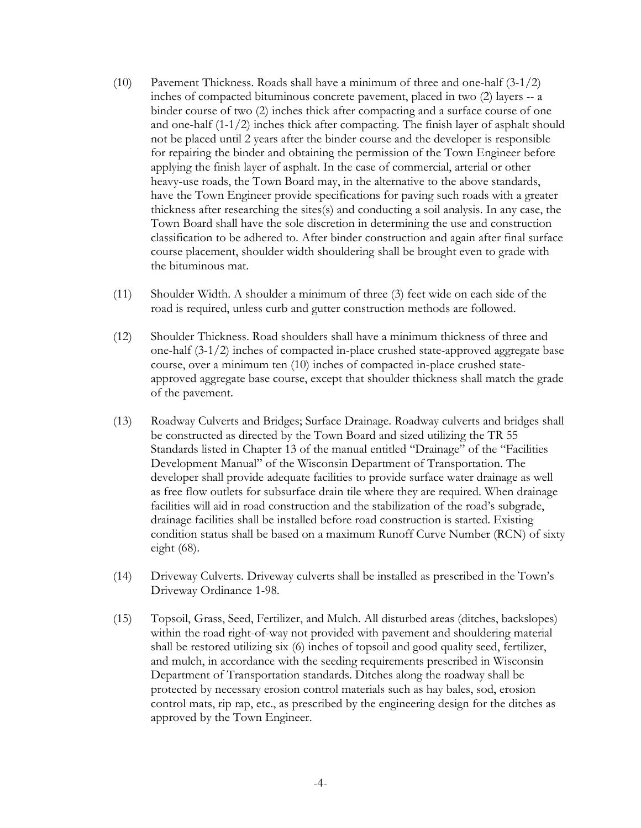- (10) Pavement Thickness. Roads shall have a minimum of three and one-half (3-1/2) inches of compacted bituminous concrete pavement, placed in two (2) layers -- a binder course of two (2) inches thick after compacting and a surface course of one and one-half  $(1-1/2)$  inches thick after compacting. The finish layer of asphalt should not be placed until 2 years after the binder course and the developer is responsible for repairing the binder and obtaining the permission of the Town Engineer before applying the finish layer of asphalt. In the case of commercial, arterial or other heavy-use roads, the Town Board may, in the alternative to the above standards, have the Town Engineer provide specifications for paving such roads with a greater thickness after researching the sites(s) and conducting a soil analysis. In any case, the Town Board shall have the sole discretion in determining the use and construction classification to be adhered to. After binder construction and again after final surface course placement, shoulder width shouldering shall be brought even to grade with the bituminous mat.
- (11) Shoulder Width. A shoulder a minimum of three (3) feet wide on each side of the road is required, unless curb and gutter construction methods are followed.
- (12) Shoulder Thickness. Road shoulders shall have a minimum thickness of three and one-half (3-1/2) inches of compacted in-place crushed state-approved aggregate base course, over a minimum ten (10) inches of compacted in-place crushed stateapproved aggregate base course, except that shoulder thickness shall match the grade of the pavement.
- (13) Roadway Culverts and Bridges; Surface Drainage. Roadway culverts and bridges shall be constructed as directed by the Town Board and sized utilizing the TR 55 Standards listed in Chapter 13 of the manual entitled "Drainage" of the "Facilities Development Manual" of the Wisconsin Department of Transportation. The developer shall provide adequate facilities to provide surface water drainage as well as free flow outlets for subsurface drain tile where they are required. When drainage facilities will aid in road construction and the stabilization of the road's subgrade, drainage facilities shall be installed before road construction is started. Existing condition status shall be based on a maximum Runoff Curve Number (RCN) of sixty eight (68).
- (14) Driveway Culverts. Driveway culverts shall be installed as prescribed in the Town's Driveway Ordinance 1-98.
- (15) Topsoil, Grass, Seed, Fertilizer, and Mulch. All disturbed areas (ditches, backslopes) within the road right-of-way not provided with pavement and shouldering material shall be restored utilizing six (6) inches of topsoil and good quality seed, fertilizer, and mulch, in accordance with the seeding requirements prescribed in Wisconsin Department of Transportation standards. Ditches along the roadway shall be protected by necessary erosion control materials such as hay bales, sod, erosion control mats, rip rap, etc., as prescribed by the engineering design for the ditches as approved by the Town Engineer.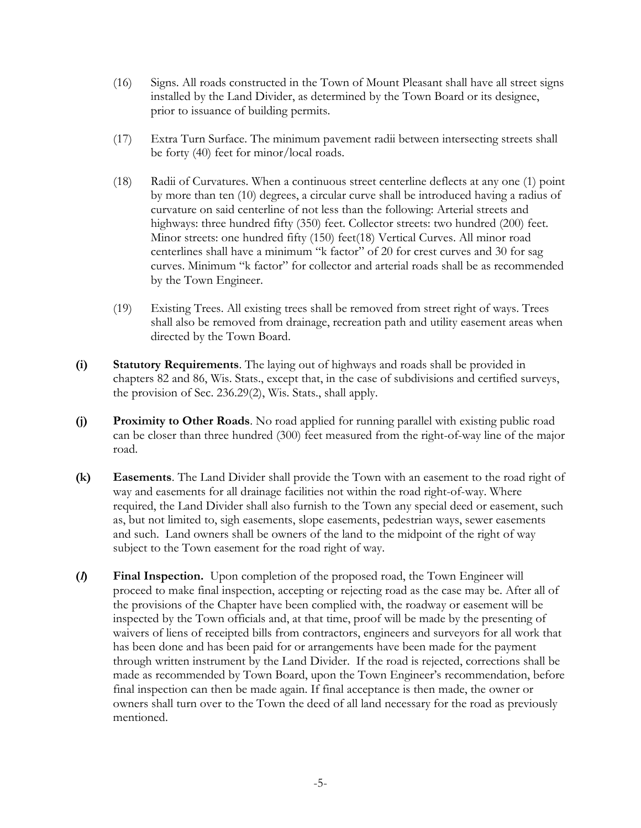- (16) Signs. All roads constructed in the Town of Mount Pleasant shall have all street signs installed by the Land Divider, as determined by the Town Board or its designee, prior to issuance of building permits.
- (17) Extra Turn Surface. The minimum pavement radii between intersecting streets shall be forty (40) feet for minor/local roads.
- (18) Radii of Curvatures. When a continuous street centerline deflects at any one (1) point by more than ten (10) degrees, a circular curve shall be introduced having a radius of curvature on said centerline of not less than the following: Arterial streets and highways: three hundred fifty (350) feet. Collector streets: two hundred (200) feet. Minor streets: one hundred fifty (150) feet(18) Vertical Curves. All minor road centerlines shall have a minimum "k factor" of 20 for crest curves and 30 for sag curves. Minimum "k factor" for collector and arterial roads shall be as recommended by the Town Engineer.
- (19) Existing Trees. All existing trees shall be removed from street right of ways. Trees shall also be removed from drainage, recreation path and utility easement areas when directed by the Town Board.
- **(i) Statutory Requirements**. The laying out of highways and roads shall be provided in chapters 82 and 86, Wis. Stats., except that, in the case of subdivisions and certified surveys, the provision of Sec. 236.29(2), Wis. Stats., shall apply.
- **(j) Proximity to Other Roads**. No road applied for running parallel with existing public road can be closer than three hundred (300) feet measured from the right-of-way line of the major road.
- **(k) Easements**. The Land Divider shall provide the Town with an easement to the road right of way and easements for all drainage facilities not within the road right-of-way. Where required, the Land Divider shall also furnish to the Town any special deed or easement, such as, but not limited to, sigh easements, slope easements, pedestrian ways, sewer easements and such. Land owners shall be owners of the land to the midpoint of the right of way subject to the Town easement for the road right of way.
- **(l) Final Inspection.** Upon completion of the proposed road, the Town Engineer will proceed to make final inspection, accepting or rejecting road as the case may be. After all of the provisions of the Chapter have been complied with, the roadway or easement will be inspected by the Town officials and, at that time, proof will be made by the presenting of waivers of liens of receipted bills from contractors, engineers and surveyors for all work that has been done and has been paid for or arrangements have been made for the payment through written instrument by the Land Divider. If the road is rejected, corrections shall be made as recommended by Town Board, upon the Town Engineer's recommendation, before final inspection can then be made again. If final acceptance is then made, the owner or owners shall turn over to the Town the deed of all land necessary for the road as previously mentioned.